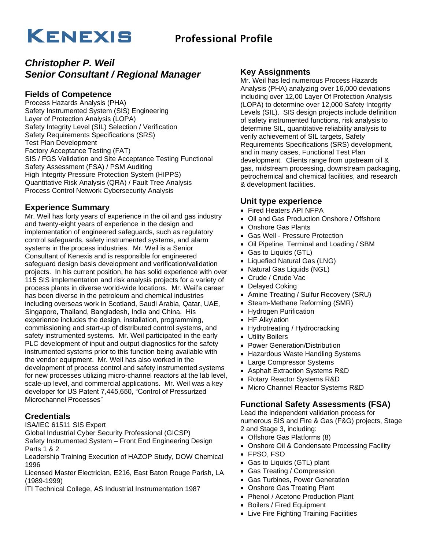# KENEXIS Professional Profile

## *Christopher P. Weil Senior Consultant / Regional Manager*

## **Fields of Competence**

Process Hazards Analysis (PHA) Safety Instrumented System (SIS) Engineering Layer of Protection Analysis (LOPA) Safety Integrity Level (SIL) Selection / Verification Safety Requirements Specifications (SRS) Test Plan Development Factory Acceptance Testing (FAT) SIS / FGS Validation and Site Acceptance Testing Functional Safety Assessment (FSA) / PSM Auditing High Integrity Pressure Protection System (HIPPS) Quantitative Risk Analysis (QRA) / Fault Tree Analysis Process Control Network Cybersecurity Analysis

#### **Experience Summary**

Mr. Weil has forty years of experience in the oil and gas industry and twenty-eight years of experience in the design and implementation of engineered safeguards, such as regulatory control safeguards, safety instrumented systems, and alarm systems in the process industries. Mr. Weil is a Senior Consultant of Kenexis and is responsible for engineered safeguard design basis development and verification/validation projects. In his current position, he has solid experience with over 115 SIS implementation and risk analysis projects for a variety of process plants in diverse world-wide locations. Mr. Weil's career has been diverse in the petroleum and chemical industries including overseas work in Scotland, Saudi Arabia, Qatar, UAE, Singapore, Thailand, Bangladesh, India and China. His experience includes the design, installation, programming, commissioning and start-up of distributed control systems, and safety instrumented systems. Mr. Weil participated in the early PLC development of input and output diagnostics for the safety instrumented systems prior to this function being available with the vendor equipment. Mr. Weil has also worked in the development of process control and safety instrumented systems for new processes utilizing micro-channel reactors at the lab level, scale-up level, and commercial applications. Mr. Weil was a key developer for US Patent 7,445,650, "Control of Pressurized Microchannel Processes"

### **Credentials**

ISA/IEC 61511 SIS Expert

Global Industrial Cyber Security Professional (GICSP)

Safety Instrumented System – Front End Engineering Design Parts 1 & 2

Leadership Training Execution of HAZOP Study, DOW Chemical 1996

Licensed Master Electrician, E216, East Baton Rouge Parish, LA (1989-1999)

ITI Technical College, AS Industrial Instrumentation 1987

#### **Key Assignments**

Mr. Weil has led numerous Process Hazards Analysis (PHA) analyzing over 16,000 deviations including over 12,00 Layer Of Protection Analysis (LOPA) to determine over 12,000 Safety Integrity Levels (SIL). SIS design projects include definition of safety instrumented functions, risk analysis to determine SIL, quantitative reliability analysis to verify achievement of SIL targets, Safety Requirements Specifications (SRS) development, and in many cases, Functional Test Plan development. Clients range from upstream oil & gas, midstream processing, downstream packaging, petrochemical and chemical facilities, and research & development facilities.

#### **Unit type experience**

- Fired Heaters API NFPA
- Oil and Gas Production Onshore / Offshore
- Onshore Gas Plants
- Gas Well Pressure Protection
- Oil Pipeline, Terminal and Loading / SBM
- Gas to Liquids (GTL)
- Liquefied Natural Gas (LNG)
- Natural Gas Liquids (NGL)
- Crude / Crude Vac
- Delayed Coking
- Amine Treating / Sulfur Recovery (SRU)
- Steam-Methane Reforming (SMR)
- Hydrogen Purification
- HF Alkylation
- Hydrotreating / Hydrocracking
- Utility Boilers
- Power Generation/Distribution
- Hazardous Waste Handling Systems
- Large Compressor Systems
- Asphalt Extraction Systems R&D
- Rotary Reactor Systems R&D
- Micro Channel Reactor Systems R&D

### **Functional Safety Assessments (FSA)**

Lead the independent validation process for numerous SIS and Fire & Gas (F&G) projects, Stage 2 and Stage 3, including:

- Offshore Gas Platforms (8)
- Onshore Oil & Condensate Processing Facility
- FPSO, FSO
- Gas to Liquids (GTL) plant
- Gas Treating / Compression
- Gas Turbines, Power Generation
- Onshore Gas Treating Plant
- Phenol / Acetone Production Plant
- Boilers / Fired Equipment
- Live Fire Fighting Training Facilities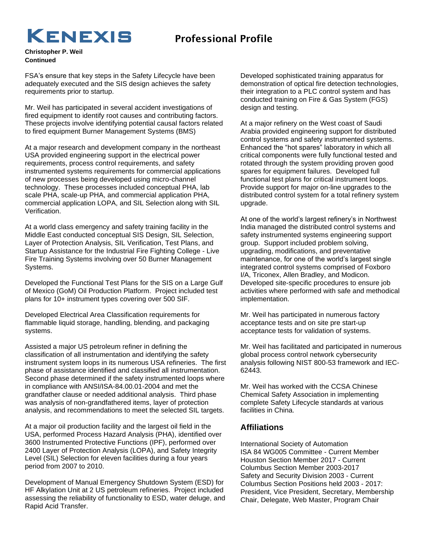## KENEXIS Professional Profile

**Christopher P. Weil Continued**

FSA's ensure that key steps in the Safety Lifecycle have been adequately executed and the SIS design achieves the safety requirements prior to startup.

Mr. Weil has participated in several accident investigations of fired equipment to identify root causes and contributing factors. These projects involve identifying potential causal factors related to fired equipment Burner Management Systems (BMS)

At a major research and development company in the northeast USA provided engineering support in the electrical power requirements, process control requirements, and safety instrumented systems requirements for commercial applications of new processes being developed using micro-channel technology. These processes included conceptual PHA, lab scale PHA, scale-up PHA, and commercial application PHA, commercial application LOPA, and SIL Selection along with SIL Verification.

At a world class emergency and safety training facility in the Middle East conducted conceptual SIS Design, SIL Selection, Layer of Protection Analysis, SIL Verification, Test Plans, and Startup Assistance for the Industrial Fire Fighting College - Live Fire Training Systems involving over 50 Burner Management Systems.

Developed the Functional Test Plans for the SIS on a Large Gulf of Mexico (GoM) Oil Production Platform. Project included test plans for 10+ instrument types covering over 500 SIF.

Developed Electrical Area Classification requirements for flammable liquid storage, handling, blending, and packaging systems.

Assisted a major US petroleum refiner in defining the classification of all instrumentation and identifying the safety instrument system loops in its numerous USA refineries. The first phase of assistance identified and classified all instrumentation. Second phase determined if the safety instrumented loops where in compliance with ANSI/ISA-84.00.01-2004 and met the grandfather clause or needed additional analysis. Third phase was analysis of non-grandfathered items, layer of protection analysis, and recommendations to meet the selected SIL targets.

At a major oil production facility and the largest oil field in the USA, performed Process Hazard Analysis (PHA), identified over 3600 Instrumented Protective Functions (IPF), performed over 2400 Layer of Protection Analysis (LOPA), and Safety Integrity Level (SIL) Selection for eleven facilities during a four years period from 2007 to 2010.

Development of Manual Emergency Shutdown System (ESD) for HF Alkylation Unit at 2 US petroleum refineries. Project included assessing the reliability of functionality to ESD, water deluge, and Rapid Acid Transfer.

Developed sophisticated training apparatus for demonstration of optical fire detection technologies, their integration to a PLC control system and has conducted training on Fire & Gas System (FGS) design and testing.

At a major refinery on the West coast of Saudi Arabia provided engineering support for distributed control systems and safety instrumented systems. Enhanced the "hot spares" laboratory in which all critical components were fully functional tested and rotated through the system providing proven good spares for equipment failures. Developed full functional test plans for critical instrument loops. Provide support for major on-line upgrades to the distributed control system for a total refinery system upgrade.

At one of the world's largest refinery's in Northwest India managed the distributed control systems and safety instrumented systems engineering support group. Support included problem solving, upgrading, modifications, and preventative maintenance, for one of the world's largest single integrated control systems comprised of Foxboro I/A, Triconex, Allen Bradley, and Modicon. Developed site-specific procedures to ensure job activities where performed with safe and methodical implementation.

Mr. Weil has participated in numerous factory acceptance tests and on site pre start-up acceptance tests for validation of systems.

Mr. Weil has facilitated and participated in numerous global process control network cybersecurity analysis following NIST 800-53 framework and IEC-62443.

Mr. Weil has worked with the CCSA Chinese Chemical Safety Association in implementing complete Safety Lifecycle standards at various facilities in China.

### **Affiliations**

International Society of Automation ISA 84 WG005 Committee - Current Member Houston Section Member 2017 - Current Columbus Section Member 2003-2017 Safety and Security Division 2003 - Current Columbus Section Positions held 2003 - 2017: President, Vice President, Secretary, Membership Chair, Delegate, Web Master, Program Chair